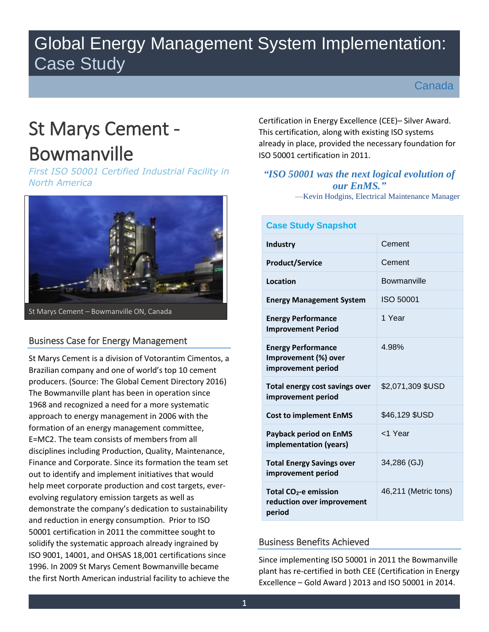## Global Energy Management System Implementation: Case Study

Canada

# St Marys Cement -

## Bowmanville

*First ISO 50001 Certified Industrial Facility in North America*



## Business Case for Energy Management

St Marys Cement is a division of Votorantim Cimentos, a Brazilian company and one of world's top 10 cement producers. (Source: The Global Cement Directory 2016) The Bowmanville plant has been in operation since 1968 and recognized a need for a more systematic approach to energy management in 2006 with the formation of an energy management committee, E=MC2. The team consists of members from all disciplines including Production, Quality, Maintenance, Finance and Corporate. Since its formation the team set out to identify and implement initiatives that would help meet corporate production and cost targets, everevolving regulatory emission targets as well as demonstrate the company's dedication to sustainability and reduction in energy consumption. Prior to ISO 50001 certification in 2011 the committee sought to solidify the systematic approach already ingrained by ISO 9001, 14001, and OHSAS 18,001 certifications since 1996. In 2009 St Marys Cement Bowmanville became the first North American industrial facility to achieve the

Certification in Energy Excellence (CEE)– Silver Award. This certification, along with existing ISO systems already in place, provided the necessary foundation for ISO 50001 certification in 2011.

## *"ISO 50001 was the next logical evolution of our EnMS."*

—Kevin Hodgins, Electrical Maintenance Manager

| <b>Case Study Snapshot</b>                                                |                      |
|---------------------------------------------------------------------------|----------------------|
| <b>Industry</b>                                                           | Cement               |
| <b>Product/Service</b>                                                    | Cement               |
| Location                                                                  | Bowmanville          |
| <b>Energy Management System</b>                                           | ISO 50001            |
| <b>Energy Performance</b><br><b>Improvement Period</b>                    | 1 Year               |
| <b>Energy Performance</b><br>Improvement (%) over<br>improvement period   | 4.98%                |
| Total energy cost savings over<br>improvement period                      | \$2,071,309 \$USD    |
| <b>Cost to implement EnMS</b>                                             | \$46,129 \$USD       |
| <b>Payback period on EnMS</b><br>implementation (years)                   | <1 Year              |
| <b>Total Energy Savings over</b><br>improvement period                    | 34,286 (GJ)          |
| Total CO <sub>2</sub> -e emission<br>reduction over improvement<br>period | 46,211 (Metric tons) |

## Business Benefits Achieved

Since implementing ISO 50001 in 2011 the Bowmanville plant has re-certified in both CEE (Certification in Energy Excellence – Gold Award ) 2013 and ISO 50001 in 2014.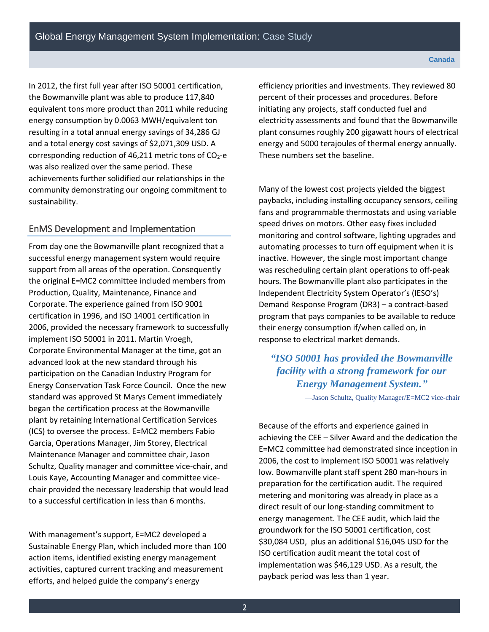In 2012, the first full year after ISO 50001 certification, the Bowmanville plant was able to produce 117,840 equivalent tons more product than 2011 while reducing energy consumption by 0.0063 MWH/equivalent ton resulting in a total annual energy savings of 34,286 GJ and a total energy cost savings of \$2,071,309 USD. A corresponding reduction of 46,211 metric tons of  $CO<sub>2</sub>$ -e was also realized over the same period. These achievements further solidified our relationships in the community demonstrating our ongoing commitment to sustainability.

### EnMS Development and Implementation

From day one the Bowmanville plant recognized that a successful energy management system would require support from all areas of the operation. Consequently the original E=MC2 committee included members from Production, Quality, Maintenance, Finance and Corporate. The experience gained from ISO 9001 certification in 1996, and ISO 14001 certification in 2006, provided the necessary framework to successfully implement ISO 50001 in 2011. Martin Vroegh, Corporate Environmental Manager at the time, got an advanced look at the new standard through his participation on the Canadian Industry Program for Energy Conservation Task Force Council. Once the new standard was approved St Marys Cement immediately began the certification process at the Bowmanville plant by retaining International Certification Services (ICS) to oversee the process. E=MC2 members Fabio Garcia, Operations Manager, Jim Storey, Electrical Maintenance Manager and committee chair, Jason Schultz, Quality manager and committee vice-chair, and Louis Kaye, Accounting Manager and committee vicechair provided the necessary leadership that would lead to a successful certification in less than 6 months.

With management's support, E=MC2 developed a Sustainable Energy Plan, which included more than 100 action items, identified existing energy management activities, captured current tracking and measurement efforts, and helped guide the company's energy

efficiency priorities and investments. They reviewed 80 percent of their processes and procedures. Before initiating any projects, staff conducted fuel and electricity assessments and found that the Bowmanville plant consumes roughly 200 gigawatt hours of electrical energy and 5000 terajoules of thermal energy annually. These numbers set the baseline.

Many of the lowest cost projects yielded the biggest paybacks, including installing occupancy sensors, ceiling fans and programmable thermostats and using variable speed drives on motors. Other easy fixes included monitoring and control software, lighting upgrades and automating processes to turn off equipment when it is inactive. However, the single most important change was rescheduling certain plant operations to off-peak hours. The Bowmanville plant also participates in the Independent Electricity System Operator's (IESO's) Demand Response Program (DR3) – a contract-based program that pays companies to be available to reduce their energy consumption if/when called on, in response to electrical market demands.

*"ISO 50001 has provided the Bowmanville facility with a strong framework for our Energy Management System."*

—Jason Schultz, Quality Manager/E=MC2 vice-chair

Because of the efforts and experience gained in achieving the CEE – Silver Award and the dedication the E=MC2 committee had demonstrated since inception in 2006, the cost to implement ISO 50001 was relatively low. Bowmanville plant staff spent 280 man-hours in preparation for the certification audit. The required metering and monitoring was already in place as a direct result of our long-standing commitment to energy management. The CEE audit, which laid the groundwork for the ISO 50001 certification, cost \$30,084 USD, plus an additional \$16,045 USD for the ISO certification audit meant the total cost of implementation was \$46,129 USD. As a result, the payback period was less than 1 year.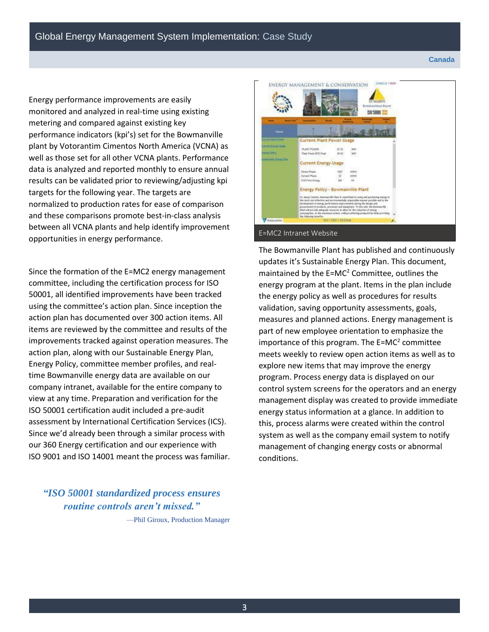#### **Canada**

Energy performance improvements are easily monitored and analyzed in real-time using existing metering and compared against existing key performance indicators (kpi's) set for the Bowmanville plant by Votorantim Cimentos North America (VCNA) as well as those set for all other VCNA plants. Performance data is analyzed and reported monthly to ensure annual results can be validated prior to reviewing/adjusting kpi targets for the following year. The targets are normalized to production rates for ease of comparison and these comparisons promote best-in-class analysis between all VCNA plants and help identify improvement opportunities in energy performance.

Since the formation of the E=MC2 energy management committee, including the certification process for ISO 50001, all identified improvements have been tracked using the committee's action plan. Since inception the action plan has documented over 300 action items. All items are reviewed by the committee and results of the improvements tracked against operation measures. The action plan, along with our Sustainable Energy Plan, Energy Policy, committee member profiles, and realtime Bowmanville energy data are available on our company intranet, available for the entire company to view at any time. Preparation and verification for the ISO 50001 certification audit included a pre-audit assessment by International Certification Services (ICS). Since we'd already been through a similar process with our 360 Energy certification and our experience with ISO 9001 and ISO 14001 meant the process was familiar.

## **ENERGY MANAGEMENT & CONSERVATION** *INSUE PLANS* **NO SOON CO** Current Plant Power Usage rent Compa 2008 **PLAST FORER**<br>Plant Plast SPD Past **COLORS SHOWTHERE Current Energy Usage CO From River Energy Policy - Bowmanville Plant** E=MC2 Intranet Website

The Bowmanville Plant has published and continuously updates it's Sustainable Energy Plan. This document, maintained by the  $E=MC^2$  Committee, outlines the energy program at the plant. Items in the plan include the energy policy as well as procedures for results validation, saving opportunity assessments, goals, measures and planned actions. Energy management is part of new employee orientation to emphasize the importance of this program. The  $E=MC^2$  committee meets weekly to review open action items as well as to explore new items that may improve the energy program. Process energy data is displayed on our control system screens for the operators and an energy management display was created to provide immediate energy status information at a glance. In addition to this, process alarms were created within the control system as well as the company email system to notify management of changing energy costs or abnormal conditions.

## *"ISO 50001 standardized process ensures routine controls aren't missed."*

—Phil Giroux, Production Manager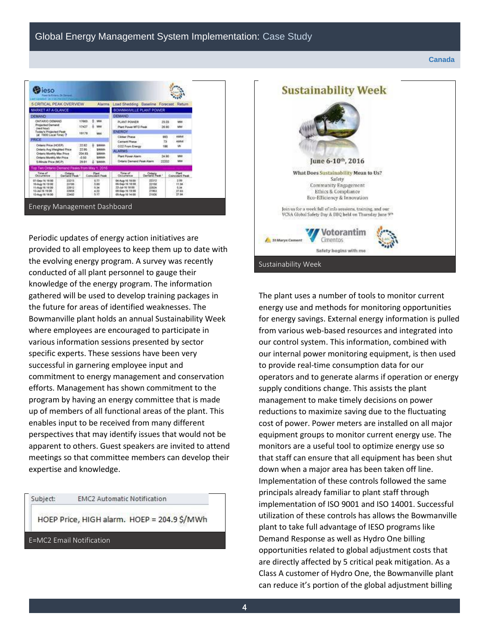#### **Canada**

| 5 CRITICAL PEAK OVERVIEW<br><b>Alamns</b>                                    |                                             |              | Load Shedding Baseline Forecast |                                                |                                   | Return         |           |                      |
|------------------------------------------------------------------------------|---------------------------------------------|--------------|---------------------------------|------------------------------------------------|-----------------------------------|----------------|-----------|----------------------|
| MARKET AT A GLANCE                                                           |                                             |              |                                 | BOWMANWILLE PLANT POWER                        |                                   |                |           |                      |
| DEMAND                                                                       |                                             |              |                                 |                                                | <b>DEMAND</b>                     |                |           |                      |
| <b><i>CIVILARIO DEMAND</i></b><br><b>Projected Demand</b><br>(next hour)     |                                             | 17663        |                                 | MAI<br>MA                                      | PLANT POWER                       |                | 25.03     | MW                   |
|                                                                              |                                             | 17427        |                                 |                                                | Plant Power MTO Paulk             |                | 26.90     | <b>MW</b>            |
| Today's Projected Peak                                                       |                                             | 10179        |                                 | MAI                                            | <b>ENERGY</b>                     |                |           |                      |
| (at 1900 Local Time) ?<br>PRICE                                              |                                             |              |                                 |                                                | <b>Clinker Phase</b>              |                | 993       | <b>HARA</b>          |
| Ontario Price (HOEP)<br>22.62<br>SAMM<br>22.95<br>Ontario Avo Weighted Price |                                             |              |                                 |                                                | <b>Camere Phose</b>               |                | 73        | <b>HARVE</b>         |
|                                                                              |                                             | SAAAh        | CO2 From Energy                 |                                                | 186                               | <b>M</b>       |           |                      |
| Ortario Monthly Max Price                                                    |                                             | 204.93       |                                 | SAMA                                           | <b>ALARMS</b>                     |                |           |                      |
| Ontario Monthly Min Price<br>$-0.50$<br>S-Meute Price (MCP)<br>26.91         |                                             | <b>SAAAN</b> |                                 | Plant Power Alerm<br>Ortario Damand Peak Alarm |                                   | 34.90          | MAI<br>MW |                      |
|                                                                              |                                             |              |                                 | SANA                                           |                                   |                | 22202     |                      |
|                                                                              | op Ten Ontario Demand Peaks from May 1, 201 |              |                                 |                                                |                                   |                |           |                      |
| Time of<br>Occurrence                                                        | <b>Citario</b><br>Damand Peak               |              | Coincident Pask                 |                                                | Time of<br><b>Olivi servano a</b> | Cantal Pass -  |           | Concretery Paul      |
| 07-Sep-14-16:00                                                              | 23213                                       |              | 6.73<br>5.89<br>5.34            |                                                | 04-Aug-16 18:00                   | 22312          |           | 2.99                 |
| 10 Aug 16 19 00                                                              | 23/030<br>22012                             |              |                                 |                                                | 06-Sap 16 18:00<br>23-34-16 18:00 | 22150<br>22034 |           | <b>ET BA</b><br>5.54 |
| 11-Aug-16 10:00<br>13-Jul-16 19:00                                           | 22658                                       |              | 4.22                            |                                                | 08-Sap 16 19:00                   | 21963          |           | 27.63                |
|                                                                              | 23402                                       |              | 6.17                            |                                                | 05-Aug-16 14:08                   | 21926          |           | 27.84                |

Periodic updates of energy action initiatives are provided to all employees to keep them up to date with the evolving energy program. A survey was recently conducted of all plant personnel to gauge their knowledge of the energy program. The information gathered will be used to develop training packages in the future for areas of identified weaknesses. The Bowmanville plant holds an annual Sustainability Week where employees are encouraged to participate in various information sessions presented by sector specific experts. These sessions have been very successful in garnering employee input and commitment to energy management and conservation efforts. Management has shown commitment to the program by having an energy committee that is made up of members of all functional areas of the plant. This enables input to be received from many different perspectives that may identify issues that would not be apparent to others. Guest speakers are invited to attend meetings so that committee members can develop their expertise and knowledge.

Subject:

**EMC2 Automatic Notification** 

HOEP Price, HIGH alarm. HOEP = 204.9 \$/MWh

E=MC2 Email Notification



The plant uses a number of tools to monitor current energy use and methods for monitoring opportunities for energy savings. External energy information is pulled from various web-based resources and integrated into our control system. This information, combined with our internal power monitoring equipment, is then used to provide real-time consumption data for our operators and to generate alarms if operation or energy supply conditions change. This assists the plant management to make timely decisions on power reductions to maximize saving due to the fluctuating cost of power. Power meters are installed on all major equipment groups to monitor current energy use. The monitors are a useful tool to optimize energy use so that staff can ensure that all equipment has been shut down when a major area has been taken off line. Implementation of these controls followed the same principals already familiar to plant staff through implementation of ISO 9001 and ISO 14001. Successful utilization of these controls has allows the Bowmanville plant to take full advantage of IESO programs like Demand Response as well as Hydro One billing opportunities related to global adjustment costs that are directly affected by 5 critical peak mitigation. As a Class A customer of Hydro One, the Bowmanville plant can reduce it's portion of the global adjustment billing